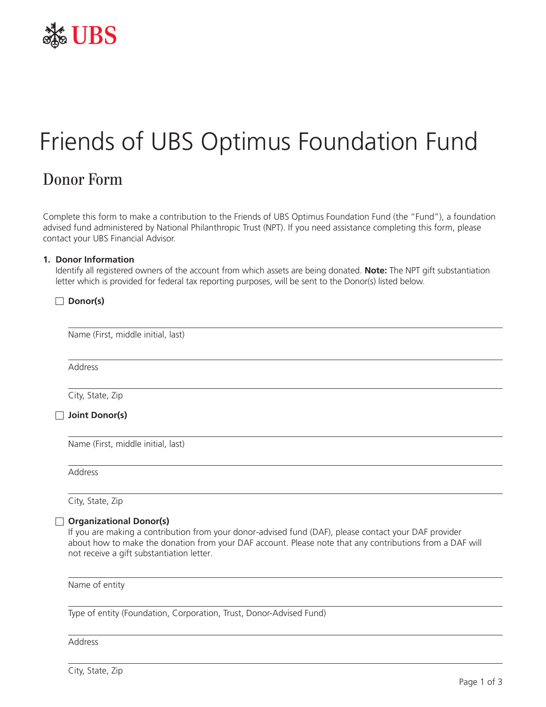

# Friends of UBS Optimus Foundation Fund

## Donor Form

Complete this form to make a contribution to the Friends of UBS Optimus Foundation Fund (the "Fund"), a foundation advised fund administered by National Philanthropic Trust (NPT). If you need assistance completing this form, please contact your UBS Financial Advisor.

#### **1. Donor Information**

**Donor(s)**

Identify all registered owners of the account from which assets are being donated. **Note:** The NPT gift substantiation letter which is provided for federal tax reporting purposes, will be sent to the Donor(s) listed below.

| Address          |  |
|------------------|--|
| City, State, Zip |  |

Name (First, middle initial, last)

Address

City, State, Zip

#### **Organizational Donor(s)**

If you are making a contribution from your donor-advised fund (DAF), please contact your DAF provider about how to make the donation from your DAF account. Please note that any contributions from a DAF will not receive a gift substantiation letter.

Name of entity

Type of entity (Foundation, Corporation, Trust, Donor-Advised Fund)

Address

City, State, Zip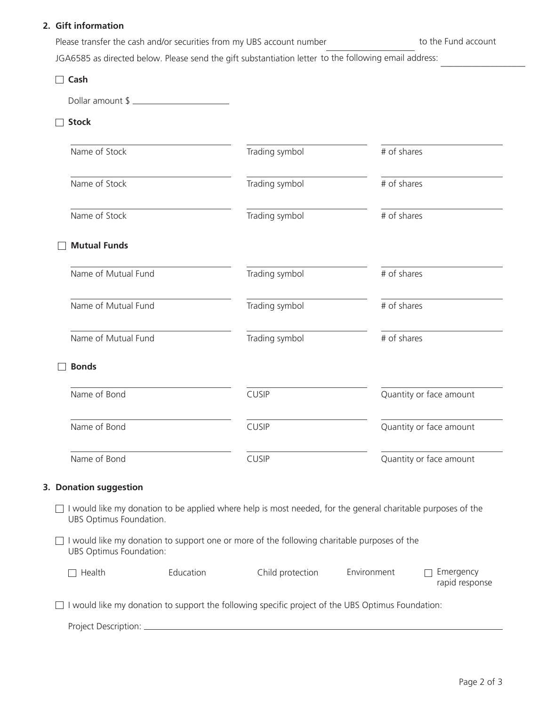#### **2.** Gift information

| Please transfer the cash and/or securities from my UBS account number | to the Fund account |
|-----------------------------------------------------------------------|---------------------|
|                                                                       |                     |

JGA6585 as directed below. Please send the gift substantiation letter to the following email address:

| Cash                    |           |                                                                                                              |             |                             |  |
|-------------------------|-----------|--------------------------------------------------------------------------------------------------------------|-------------|-----------------------------|--|
| Dollar amount \$        |           |                                                                                                              |             |                             |  |
| <b>Stock</b>            |           |                                                                                                              |             |                             |  |
| Name of Stock           |           | Trading symbol                                                                                               | # of shares |                             |  |
| Name of Stock           |           | Trading symbol                                                                                               |             | # of shares                 |  |
| Name of Stock           |           | Trading symbol                                                                                               |             | # of shares                 |  |
| <b>Mutual Funds</b>     |           |                                                                                                              |             |                             |  |
| Name of Mutual Fund     |           | Trading symbol                                                                                               |             | # of shares                 |  |
| Name of Mutual Fund     |           | Trading symbol                                                                                               |             | # of shares                 |  |
| Name of Mutual Fund     |           | Trading symbol                                                                                               | # of shares |                             |  |
| <b>Bonds</b>            |           |                                                                                                              |             |                             |  |
| Name of Bond            |           | <b>CUSIP</b>                                                                                                 |             | Quantity or face amount     |  |
| Name of Bond            |           | <b>CUSIP</b>                                                                                                 |             | Quantity or face amount     |  |
| Name of Bond            |           | <b>CUSIP</b>                                                                                                 |             | Quantity or face amount     |  |
| 3. Donation suggestion  |           |                                                                                                              |             |                             |  |
| UBS Optimus Foundation. |           | I would like my donation to be applied where help is most needed, for the general charitable purposes of the |             |                             |  |
| UBS Optimus Foundation: |           | I would like my donation to support one or more of the following charitable purposes of the                  |             |                             |  |
| Health                  | Education | Child protection                                                                                             | Environment | Emergency<br>rapid response |  |
|                         |           | I would like my donation to support the following specific project of the UBS Optimus Foundation:            |             |                             |  |
|                         |           |                                                                                                              |             |                             |  |

**\_\_\_\_\_\_\_\_\_\_\_\_\_\_\_\_\_\_\_**